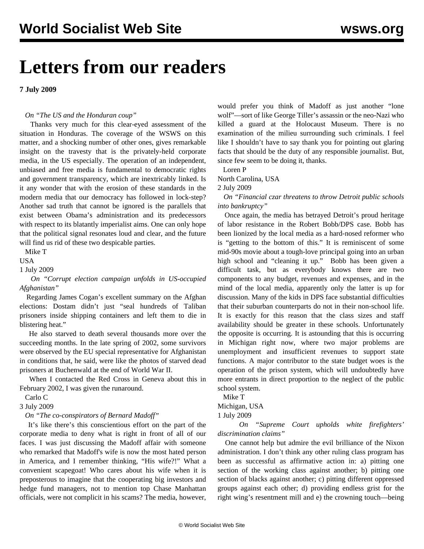# **Letters from our readers**

**7 July 2009**

#### *On "[The US and the Honduran coup](/en/articles/2009/jul2009/pers-j01.shtml)"*

 Thanks very much for this clear-eyed assessment of the situation in Honduras. The coverage of the WSWS on this matter, and a shocking number of other ones, gives remarkable insight on the travesty that is the privately-held corporate media, in the US especially. The operation of an independent, unbiased and free media is fundamental to democratic rights and government transparency, which are inextricably linked. Is it any wonder that with the erosion of these standards in the modern media that our democracy has followed in lock-step? Another sad truth that cannot be ignored is the parallels that exist between Obama's administration and its predecessors with respect to its blatantly imperialist aims. One can only hope that the political signal resonates loud and clear, and the future will find us rid of these two despicable parties.

Mike T

USA

1 July 2009

 *On "[Corrupt election campaign unfolds in US-occupied](/en/articles/2009/jul2009/afgh-j02.shtml) [Afghanistan](/en/articles/2009/jul2009/afgh-j02.shtml)"* 

 Regarding James Cogan's excellent summary on the Afghan elections: Dostam didn't just "seal hundreds of Taliban prisoners inside shipping containers and left them to die in blistering heat."

 He also starved to death several thousands more over the succeeding months. In the late spring of 2002, some survivors were observed by the EU special representative for Afghanistan in conditions that, he said, were like the photos of starved dead prisoners at Buchenwald at the end of World War II.

 When I contacted the Red Cross in Geneva about this in February 2002, I was given the runaround.

Carlo C

3 July 2009

*On "[The co-conspirators of Bernard Madoff"](/en/articles/2009/jul2009/pers-j02.shtml)* 

 It's like there's this conscientious effort on the part of the corporate media to deny what is right in front of all of our faces. I was just discussing the Madoff affair with someone who remarked that Madoff's wife is now the most hated person in America, and I remember thinking, "His wife?!" What a convenient scapegoat! Who cares about his wife when it is preposterous to imagine that the cooperating big investors and hedge fund managers, not to mention top Chase Manhattan officials, were not complicit in his scams? The media, however, would prefer you think of Madoff as just another "lone wolf"—sort of like George Tiller's assassin or the neo-Nazi who killed a guard at the Holocaust Museum. There is no examination of the milieu surrounding such criminals. I feel like I shouldn't have to say thank you for pointing out glaring facts that should be the duty of any responsible journalist. But, since few seem to be doing it, thanks.

Loren P

North Carolina, USA

2 July 2009

 *On "[Financial czar threatens to throw Detroit public schools](/en/articles/2009/jul2009/detr-j01.shtml) [into bankruptcy"](/en/articles/2009/jul2009/detr-j01.shtml)* 

 Once again, the media has betrayed Detroit's proud heritage of labor resistance in the Robert Bobb/DPS case. Bobb has been lionized by the local media as a hard-nosed reformer who is "getting to the bottom of this." It is reminiscent of some mid-90s movie about a tough-love principal going into an urban high school and "cleaning it up." Bobb has been given a difficult task, but as everybody knows there are two components to any budget, revenues and expenses, and in the mind of the local media, apparently only the latter is up for discussion. Many of the kids in DPS face substantial difficulties that their suburban counterparts do not in their non-school life. It is exactly for this reason that the class sizes and staff availability should be greater in these schools. Unfortunately the opposite is occurring. It is astounding that this is occurring in Michigan right now, where two major problems are unemployment and insufficient revenues to support state functions. A major contributor to the state budget woes is the operation of the prison system, which will undoubtedly have more entrants in direct proportion to the neglect of the public school system.

Mike T

Michigan, USA

1 July 2009

 *On "[Supreme Court upholds white firefighters'](/en/articles/2009/jun2009/sup1-j30.shtml) [discrimination claims"](/en/articles/2009/jun2009/sup1-j30.shtml)* 

 One cannot help but admire the evil brilliance of the Nixon administration. I don't think any other ruling class program has been as successful as affirmative action in: a) pitting one section of the working class against another; b) pitting one section of blacks against another; c) pitting different oppressed groups against each other; d) providing endless grist for the right wing's resentment mill and e) the crowning touch—being